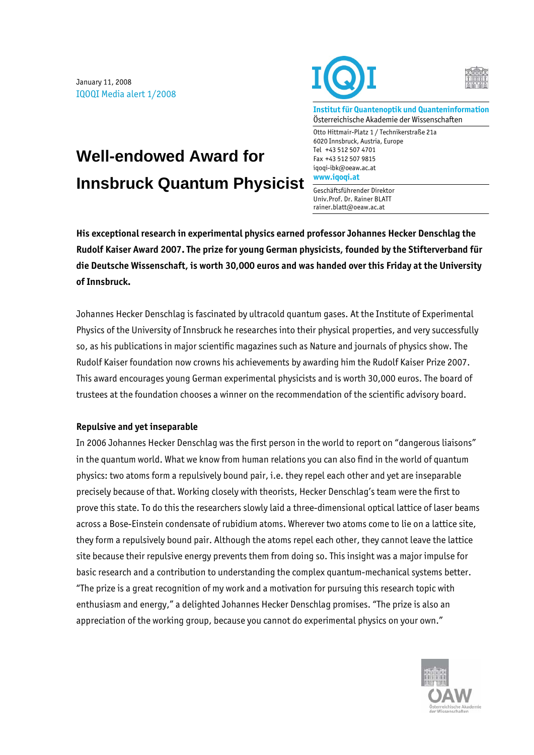January 11, 2008 IQOQI Media alert 1/2008

**Well-endowed Award for** 

**Innsbruck Quantum Physicist** 





**Institut für Quantenoptik und Quanteninformation**  Österreichische Akademie der Wissenschaften

Otto Hittmair-Platz 1 / Technikerstraße 21a 6020 Innsbruck, Austria, Europe Tel +43 512 507 4701 Fax +43 512 507 9815 iqoqi-ibk@oeaw.ac.at **www.iqoqi.at** 

Geschäftsführender Direktor Univ.Prof. Dr. Rainer BLATT rainer.blatt@oeaw.ac.at

**His exceptional research in experimental physics earned professor Johannes Hecker Denschlag the Rudolf Kaiser Award 2007. The prize for young German physicists, founded by the Stifterverband für die Deutsche Wissenschaft, is worth 30,000 euros and was handed over this Friday at the University of Innsbruck.** 

Johannes Hecker Denschlag is fascinated by ultracold quantum gases. At the Institute of Experimental Physics of the University of Innsbruck he researches into their physical properties, and very successfully so, as his publications in major scientific magazines such as Nature and journals of physics show. The Rudolf Kaiser foundation now crowns his achievements by awarding him the Rudolf Kaiser Prize 2007. This award encourages young German experimental physicists and is worth 30,000 euros. The board of trustees at the foundation chooses a winner on the recommendation of the scientific advisory board.

## **Repulsive and yet inseparable**

In 2006 Johannes Hecker Denschlag was the first person in the world to report on "dangerous liaisons" in the quantum world. What we know from human relations you can also find in the world of quantum physics: two atoms form a repulsively bound pair, i.e. they repel each other and yet are inseparable precisely because of that. Working closely with theorists, Hecker Denschlag's team were the first to prove this state. To do this the researchers slowly laid a three-dimensional optical lattice of laser beams across a Bose-Einstein condensate of rubidium atoms. Wherever two atoms come to lie on a lattice site, they form a repulsively bound pair. Although the atoms repel each other, they cannot leave the lattice site because their repulsive energy prevents them from doing so. This insight was a major impulse for basic research and a contribution to understanding the complex quantum-mechanical systems better. "The prize is a great recognition of my work and a motivation for pursuing this research topic with enthusiasm and energy," a delighted Johannes Hecker Denschlag promises. "The prize is also an appreciation of the working group, because you cannot do experimental physics on your own."